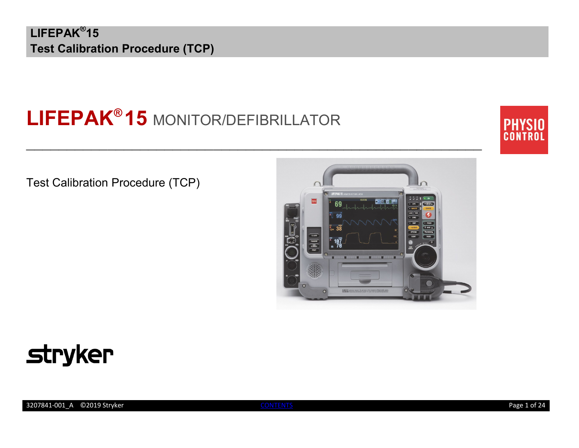# **LIFEPAK® 15** MONITOR/DEFIBRILLATOR

 $\mathcal{L}_\text{max}$  and  $\mathcal{L}_\text{max}$  and  $\mathcal{L}_\text{max}$  and  $\mathcal{L}_\text{max}$  and  $\mathcal{L}_\text{max}$  and  $\mathcal{L}_\text{max}$ 



Test Calibration Procedure (TCP)



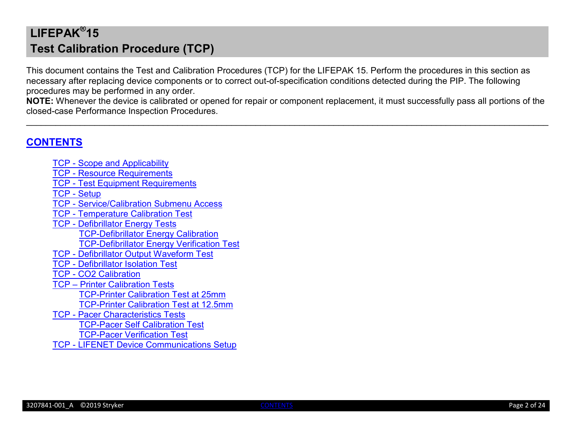This document contains the Test and Calibration Procedures (TCP) for the LIFEPAK 15. Perform the procedures in this section as necessary after replacing device components or to correct out-of-specification conditions detected during the PIP. The following procedures may be performed in any order.

**NOTE:** Whenever the device is calibrated or opened for repair or component replacement, it must successfully pass all portions of the closed-case Performance Inspection Procedures.

 $\_$ 

### <span id="page-1-0"></span>**[CONTENTS](#page-1-0)**

- TCP [Scope and Applicability](#page-2-0) TCP - [Resource Requirements](#page-2-1)
- TCP [Test Equipment Requirements](#page-3-0)
- [TCP -](#page-4-0) Setup
- TCP [Service/Calibration Submenu Access](#page-5-0)
- TCP [Temperature Calibration Test](#page-6-0)
- TCP [Defibrillator Energy Tests](#page-8-0)
	- [TCP-Defibrillator Energy Calibration](#page-9-0)
	- [TCP-Defibrillator Energy Verification Test](#page-10-0)
- TCP [Defibrillator Output Waveform Test](#page-11-0)
- TCP [Defibrillator Isolation Test](#page-13-0)
- TCP [CO2 Calibration](#page-14-0)
- TCP Printer [Calibration](#page-17-0) Tests [TCP-Printer Calibration Test at 25mm](#page-17-1)
	- [TCP-Printer Calibration Test at 12.5mm](#page-18-0)
- TCP [Pacer Characteristics](#page-19-0) Tests [TCP-Pacer Self Calibration Test](#page-19-1) [TCP-Pacer Verification Test](#page-20-0)
- TCP [LIFENET Device Communications Setup](#page-21-0)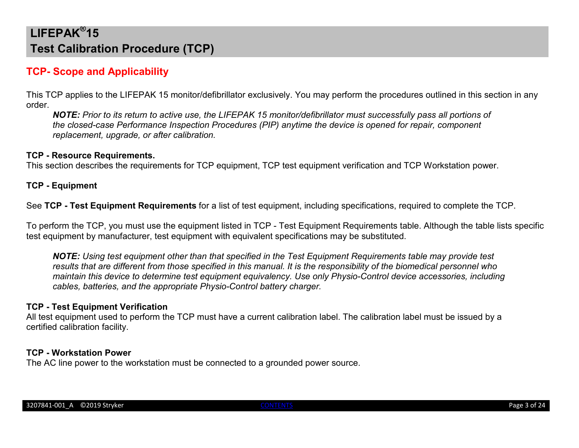### <span id="page-2-0"></span>**TCP- Scope and Applicability**

This TCP applies to the LIFEPAK 15 monitor/defibrillator exclusively. You may perform the procedures outlined in this section in any order.

*NOTE: Prior to its return to active use, the LIFEPAK 15 monitor/defibrillator must successfully pass all portions of the closed-case Performance Inspection Procedures (PIP) anytime the device is opened for repair, component replacement, upgrade, or after calibration.*

#### <span id="page-2-1"></span>**TCP - Resource Requirements.**

This section describes the requirements for TCP equipment, TCP test equipment verification and TCP Workstation power.

**TCP - Equipment**

See **TCP - Test Equipment Requirements** for a list of test equipment, including specifications, required to complete the TCP.

To perform the TCP, you must use the equipment listed in TCP - Test Equipment Requirements table. Although the table lists specific test equipment by manufacturer, test equipment with equivalent specifications may be substituted.

*NOTE: Using test equipment other than that specified in the Test Equipment Requirements table may provide test results that are different from those specified in this manual. It is the responsibility of the biomedical personnel who maintain this device to determine test equipment equivalency. Use only Physio-Control device accessories, including cables, batteries, and the appropriate Physio-Control battery charger.*

#### **TCP - Test Equipment Verification**

All test equipment used to perform the TCP must have a current calibration label. The calibration label must be issued by a certified calibration facility.

#### **TCP - Workstation Power**

The AC line power to the workstation must be connected to a grounded power source.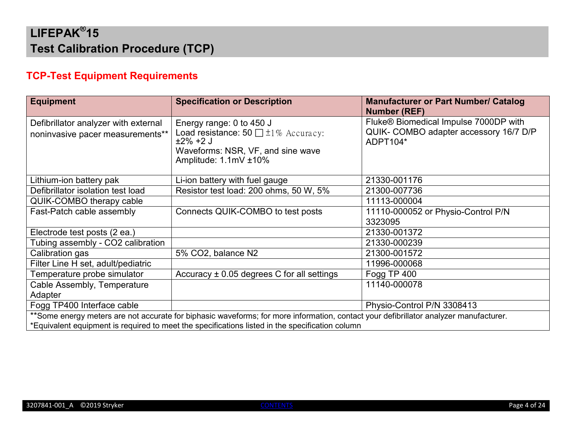### <span id="page-3-0"></span>**TCP-Test Equipment Requirements**

| <b>Equipment</b>                                                                                                                                                                                                                         | <b>Specification or Description</b>                                                                                                               | <b>Manufacturer or Part Number/ Catalog</b><br><b>Number (REF)</b>                          |  |
|------------------------------------------------------------------------------------------------------------------------------------------------------------------------------------------------------------------------------------------|---------------------------------------------------------------------------------------------------------------------------------------------------|---------------------------------------------------------------------------------------------|--|
| Defibrillator analyzer with external<br>noninvasive pacer measurements**                                                                                                                                                                 | Energy range: 0 to 450 J<br>Load resistance: 50 $\Box$ ±1% Accuracy:<br>$±2\% +2$ J<br>Waveforms: NSR, VF, and sine wave<br>Amplitude: 1.1mV ±10% | Fluke® Biomedical Impulse 7000DP with<br>QUIK- COMBO adapter accessory 16/7 D/P<br>ADPT104* |  |
| Lithium-ion battery pak                                                                                                                                                                                                                  | Li-ion battery with fuel gauge                                                                                                                    | 21330-001176                                                                                |  |
| Defibrillator isolation test load                                                                                                                                                                                                        | Resistor test load: 200 ohms, 50 W, 5%                                                                                                            | 21300-007736                                                                                |  |
| QUIK-COMBO therapy cable                                                                                                                                                                                                                 |                                                                                                                                                   | 11113-000004                                                                                |  |
| Fast-Patch cable assembly                                                                                                                                                                                                                | Connects QUIK-COMBO to test posts                                                                                                                 | 11110-000052 or Physio-Control P/N<br>3323095                                               |  |
| Electrode test posts (2 ea.)                                                                                                                                                                                                             |                                                                                                                                                   | 21330-001372                                                                                |  |
| Tubing assembly - CO2 calibration                                                                                                                                                                                                        |                                                                                                                                                   | 21330-000239                                                                                |  |
| Calibration gas                                                                                                                                                                                                                          | 5% CO2, balance N2                                                                                                                                | 21300-001572                                                                                |  |
| Filter Line H set, adult/pediatric                                                                                                                                                                                                       |                                                                                                                                                   | 11996-000068                                                                                |  |
| Temperature probe simulator                                                                                                                                                                                                              | Accuracy $\pm$ 0.05 degrees C for all settings                                                                                                    | Fogg TP 400                                                                                 |  |
| Cable Assembly, Temperature<br>Adapter                                                                                                                                                                                                   |                                                                                                                                                   | 11140-000078                                                                                |  |
| Fogg TP400 Interface cable                                                                                                                                                                                                               |                                                                                                                                                   | Physio-Control P/N 3308413                                                                  |  |
| **Some energy meters are not accurate for biphasic waveforms; for more information, contact your defibrillator analyzer manufacturer.<br>*Equivalent equipment is required to meet the specifications listed in the specification column |                                                                                                                                                   |                                                                                             |  |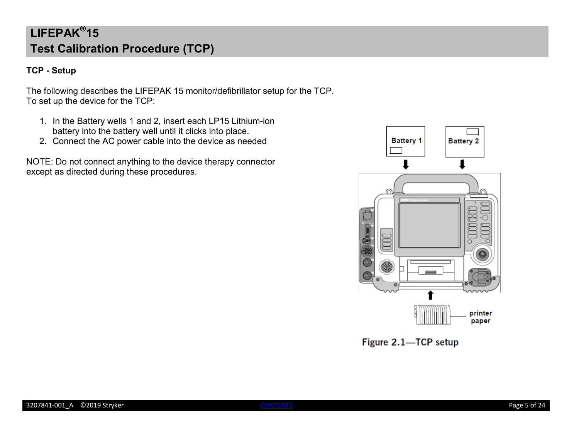### <span id="page-4-0"></span>**TCP - Setup**

The following describes the LIFEPAK 15 monitor/defibrillator setup for the TCP. To set up the device for the TCP:

- 1. In the Battery wells 1 and 2, insert each LP15 Lithium-ion battery into the battery well until it clicks into place.
- 2. Connect the AC power cable into the device as needed

NOTE: Do not connect anything to the device therapy connector except as directed during these procedures.



Figure 2.1-TCP setup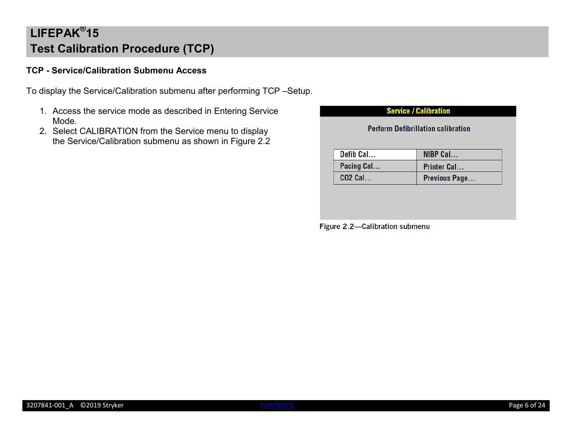### <span id="page-5-0"></span>**TCP - Service/Calibration Submenu Access**

To display the Service/Calibration submenu after performing TCP –Setup.

- 1. Access the service mode as described in Entering Service Mode.
- 2. Select CALIBRATION from the Service menu to display the Service/Calibration submenu as shown in Figure 2.2

| <b>Perform Defibrillation calibration</b> |                    |  |
|-------------------------------------------|--------------------|--|
| Defib Cal                                 | NIBP Cal           |  |
| Pacing Cal                                | <b>Printer Cal</b> |  |
| <b>CO2 Cal</b>                            | Previous Page      |  |

Figure 2.2-Calibration submenu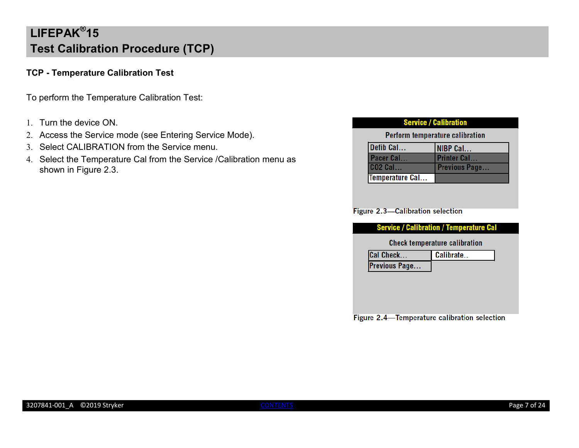### <span id="page-6-0"></span>**TCP - Temperature Calibration Test**

To perform the Temperature Calibration Test:

- 1. Turn the device ON.
- 2. Access the Service mode (see Entering Service Mode).
- 3. Select CALIBRATION from the Service menu.
- 4. Select the Temperature Cal from the Service /Calibration menu as shown in Figure 2.3.

| <b>Service / Calibration</b>           |                      |  |
|----------------------------------------|----------------------|--|
| <b>Perform temperature calibration</b> |                      |  |
| Defib Cal                              | NIBP Cal             |  |
| Pacer Cal                              | <b>Printer Cal</b>   |  |
| <b>CO2 Cal</b>                         | <b>Previous Page</b> |  |
| Temperature Cal                        |                      |  |

#### Figure 2.3-Calibration selection

#### **Service / Calibration / Temperature Cal**

#### **Check temperature calibration**

| <b>Cal Check</b>     | Calibrate |
|----------------------|-----------|
| <b>Previous Page</b> |           |

Figure 2.4-Temperature calibration selection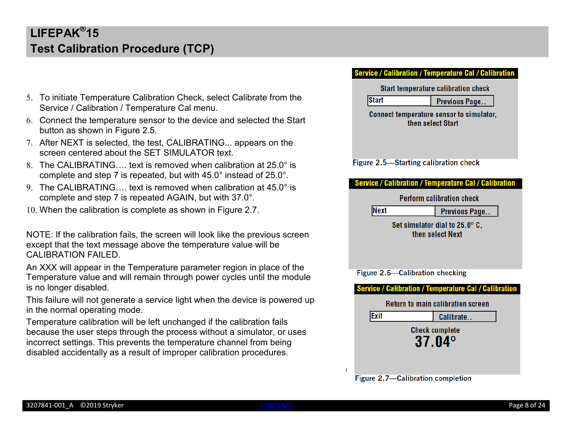- 5. To initiate Temperature Calibration Check, select Calibrate from the Service / Calibration / Temperature Cal menu.
- 6. Connect the temperature sensor to the device and selected the Start button as shown in Figure 2.5.
- 7. After NEXT is selected, the test, CALIBRATING... appears on the screen centered about the SET SIMULATOR text.
- 8. The CALIBRATING…. text is removed when calibration at 25.0° is complete and step 7 is repeated, but with 45.0° instead of 25.0°.
- 9. The CALIBRATING text is removed when calibration at 45.0 $^{\circ}$  is complete and step 7 is repeated AGAIN, but with 37.0°.
- 10. When the calibration is complete as shown in Figure 2.7.

NOTE: If the calibration fails, the screen will look like the previous screen except that the text message above the temperature value will be CALIBRATION FAILED.

An XXX will appear in the Temperature parameter region in place of the Temperature value and will remain through power cycles until the module is no longer disabled.

This failure will not generate a service light when the device is powered up in the normal operating mode.

Temperature calibration will be left unchanged if the calibration fails because the user steps through the process without a simulator, or uses incorrect settings. This prevents the temperature channel from being disabled accidentally as a result of improper calibration procedures.

#### ervice / Calibration / Temperature Cal / Calibration

Start temperature calibration check

Previous Page...

**Start** 

**Next** 

Connect temperature sensor to simulator, then select Start

Figure 2.5-Starting calibration check

#### **Service / Calibration / Temperature Cal / Calibration**

Perform calibration check

Previous Page..

Set simulator dial to 25.0° C. then select Next

Figure 2.6-Calibration checking



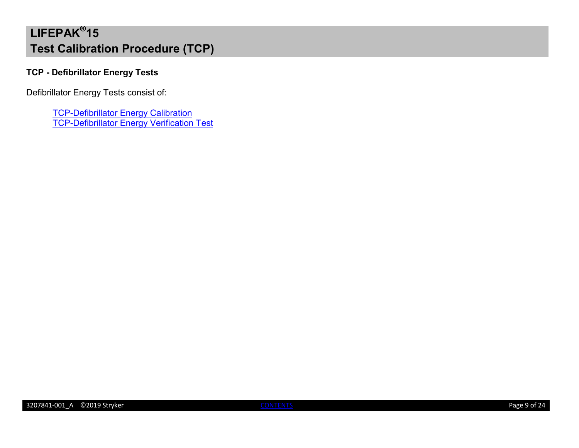### <span id="page-8-0"></span>**TCP - Defibrillator Energy Tests**

Defibrillator Energy Tests consist of:

**[TCP-Defibrillator Energy Calibration](#page-9-0)** [TCP-Defibrillator Energy Verification Test](#page-10-0)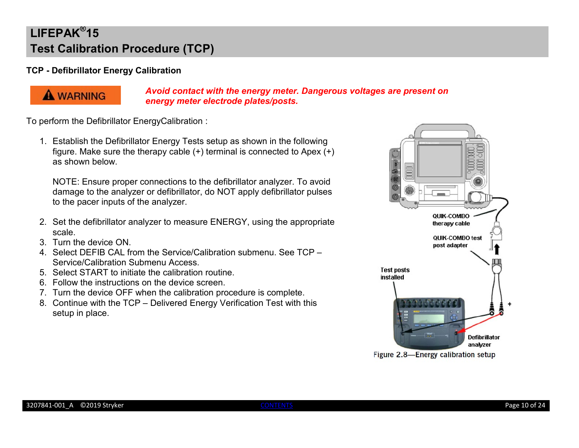### <span id="page-9-0"></span>**TCP - Defibrillator Energy Calibration**



*Avoid contact with the energy meter. Dangerous voltages are present on energy meter electrode plates/posts.*

To perform the Defibrillator EnergyCalibration :

1. Establish the Defibrillator Energy Tests setup as shown in the following figure. Make sure the therapy cable (+) terminal is connected to Apex (+) as shown below.

NOTE: Ensure proper connections to the defibrillator analyzer. To avoid damage to the analyzer or defibrillator, do NOT apply defibrillator pulses to the pacer inputs of the analyzer.

- 2. Set the defibrillator analyzer to measure ENERGY, using the appropriate scale.
- 3. Turn the device ON.
- 4. Select DEFIB CAL from the Service/Calibration submenu. See TCP Service/Calibration Submenu Access.
- 5. Select START to initiate the calibration routine.
- 6. Follow the instructions on the device screen.
- 7. Turn the device OFF when the calibration procedure is complete.
- 8. Continue with the TCP Delivered Energy Verification Test with this setup in place.



Figure 2.8-Energy calibration setup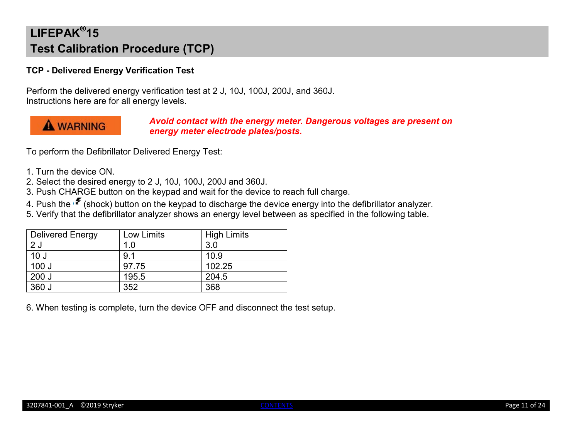#### <span id="page-10-0"></span>**TCP - Delivered Energy Verification Test**

Perform the delivered energy verification test at 2 J, 10J, 100J, 200J, and 360J. Instructions here are for all energy levels.

### **A WARNING**

#### *Avoid contact with the energy meter. Dangerous voltages are present on energy meter electrode plates/posts.*

To perform the Defibrillator Delivered Energy Test:

- 1. Turn the device ON.
- 2. Select the desired energy to 2 J, 10J, 100J, 200J and 360J.
- 3. Push CHARGE button on the keypad and wait for the device to reach full charge.
- 4. Push the  $\mathbf{F}$  (shock) button on the keypad to discharge the device energy into the defibrillator analyzer.
- 5. Verify that the defibrillator analyzer shows an energy level between as specified in the following table.

| <b>Delivered Energy</b> | Low Limits | <b>High Limits</b> |
|-------------------------|------------|--------------------|
| 2J                      | 1.0        | 3.0                |
| 10 <sub>J</sub>         | 9.1        | 10.9               |
| 100J                    | 97.75      | 102.25             |
| 200J                    | 195.5      | 204.5              |
| 360 J                   | 352        | 368                |

6. When testing is complete, turn the device OFF and disconnect the test setup.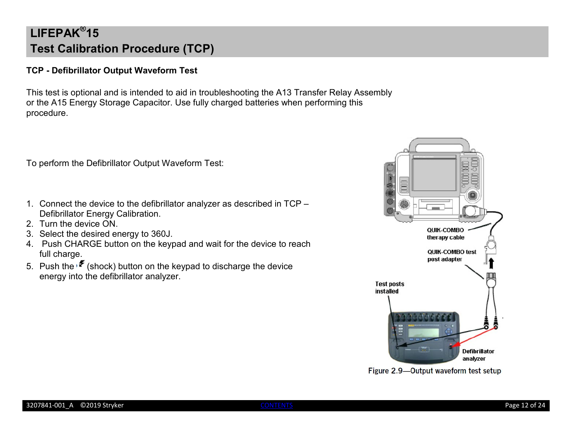### <span id="page-11-0"></span>**TCP - Defibrillator Output Waveform Test**

This test is optional and is intended to aid in troubleshooting the A13 Transfer Relay Assembly or the A15 Energy Storage Capacitor. Use fully charged batteries when performing this procedure.

To perform the Defibrillator Output Waveform Test:

- 1. Connect the device to the defibrillator analyzer as described in TCP Defibrillator Energy Calibration.
- 2. Turn the device ON.
- 3. Select the desired energy to 360J.
- 4. Push CHARGE button on the keypad and wait for the device to reach full charge.
- 5. Push the  $\mathscr F$  (shock) button on the keypad to discharge the device energy into the defibrillator analyzer.



Figure 2.9-Output waveform test setup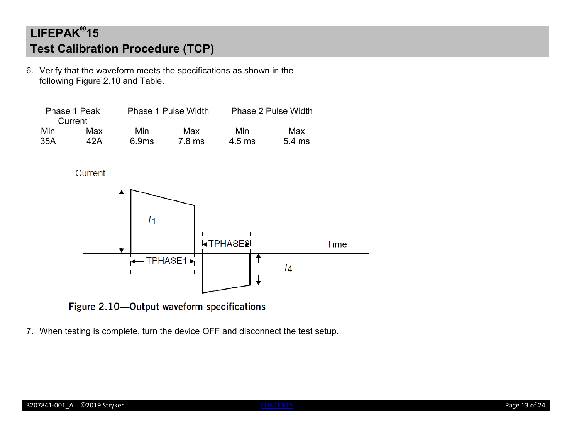6. Verify that the waveform meets the specifications as shown in the following Figure 2.10 and Table.



Figure 2.10-Output waveform specifications

7. When testing is complete, turn the device OFF and disconnect the test setup.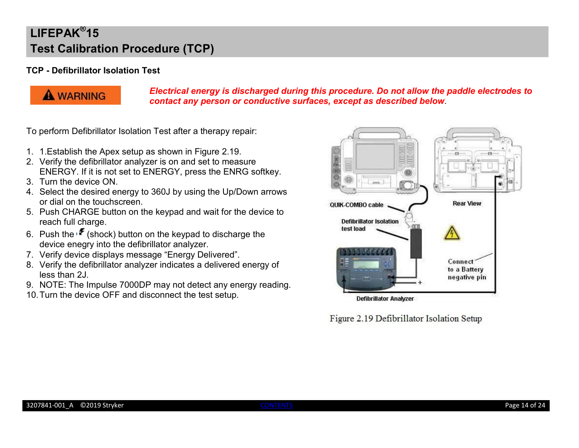### <span id="page-13-0"></span>**TCP - Defibrillator Isolation Test**



*Electrical energy is discharged during this procedure. Do not allow the paddle electrodes to contact any person or conductive surfaces, except as described below*.

To perform Defibrillator Isolation Test after a therapy repair:

- 1. 1.Establish the Apex setup as shown in Figure 2.19.
- 2. Verify the defibrillator analyzer is on and set to measure ENERGY. If it is not set to ENERGY, press the ENRG softkey.
- 3. Turn the device ON.
- 4. Select the desired energy to 360J by using the Up/Down arrows or dial on the touchscreen.
- 5. Push CHARGE button on the keypad and wait for the device to reach full charge.
- 6. Push the  $\mathcal F$  (shock) button on the keypad to discharge the device enegry into the defibrillator analyzer.
- 7. Verify device displays message "Energy Delivered".
- 8. Verify the defibrillator analyzer indicates a delivered energy of less than 2J.
- 9. NOTE: The Impulse 7000DP may not detect any energy reading.
- 10.Turn the device OFF and disconnect the test setup.



Figure 2.19 Defibrillator Isolation Setup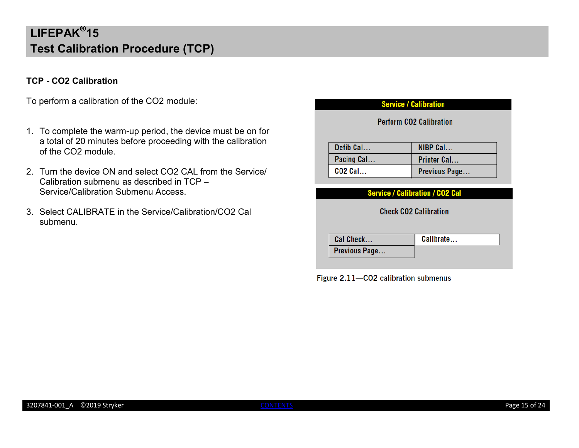### <span id="page-14-0"></span>**TCP - CO2 Calibration**

To perform a calibration of the CO2 module:

- 1. To complete the warm-up period, the device must be on for a total of 20 minutes before proceeding with the calibration of the CO2 module.
- 2. Turn the device ON and select CO2 CAL from the Service/ Calibration submenu as described in TCP – Service/Calibration Submenu Access.
- 3. Select CALIBRATE in the Service/Calibration/CO2 Cal submenu.

#### **Service / Calibration**

**Perform CO2 Calibration** 

| Defib Cal      | $NIBP$ Cal         |
|----------------|--------------------|
| Pacing Cal     | <b>Printer Cal</b> |
| <b>CO2 Cal</b> | Previous Page      |

#### **Service / Calibration / CO2 Cal**

**Check CO2 Calibration** 

| <b>Cal Check</b>     | Calibrate |
|----------------------|-----------|
| <b>Previous Page</b> |           |

Figure 2.11-CO2 calibration submenus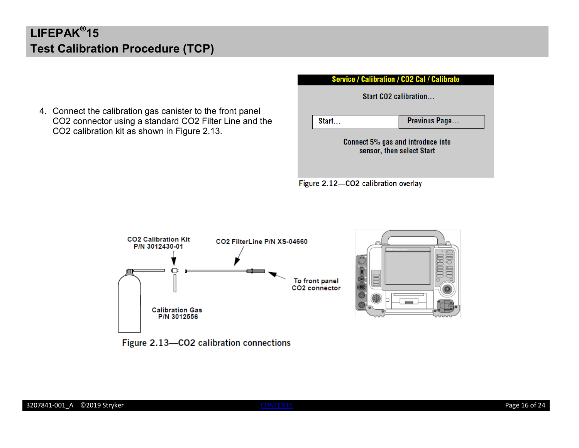4. Connect the calibration gas canister to the front panel CO2 connector using a standard CO2 Filter Line and the CO2 calibration kit as shown in Figure 2.13.

**Service / Calibration / CO2 Cal / Calibrate** 

Figure 2.12-CO2 calibration overlay



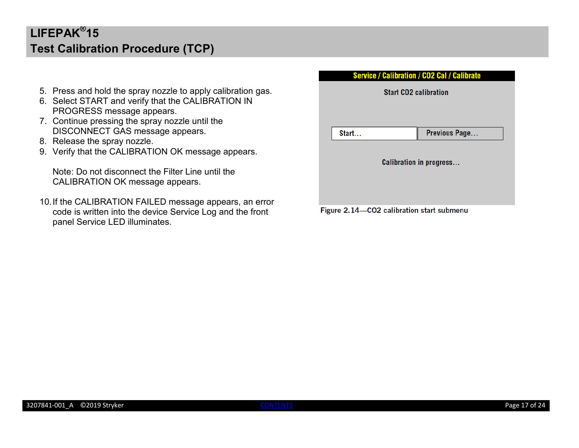- 5. Press and hold the spray nozzle to apply calibration gas.
- 6. Select START and verify that the CALIBRATION IN PROGRESS message appears.
- 7. Continue pressing the spray nozzle until the DISCONNECT GAS message appears.
- 8. Release the spray nozzle.
- 9. Verify that the CALIBRATION OK message appears.

Note: Do not disconnect the Filter Line until the CALIBRATION OK message appears.

10.If the CALIBRATION FAILED message appears, an error code is written into the device Service Log and the front panel Service LED illuminates.

| <b>Service / Calibration / CO2 Cal / Calibrate</b> |                 |  |  |
|----------------------------------------------------|-----------------|--|--|
| <b>Start CO2 calibration</b>                       |                 |  |  |
|                                                    |                 |  |  |
|                                                    |                 |  |  |
| Start                                              | Previous Page   |  |  |
|                                                    |                 |  |  |
| <b>Calibration in progress</b>                     |                 |  |  |
|                                                    |                 |  |  |
|                                                    |                 |  |  |
| .<br><b>.</b>                                      | $0.00 \pm 0.00$ |  |  |

Figure 2.14–CO2 calibration start submenu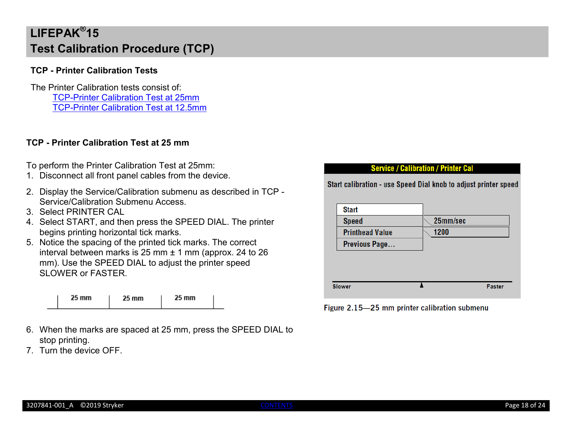#### <span id="page-17-0"></span>**TCP - Printer Calibration Tests**

The Printer Calibration tests consist of: [TCP-Printer Calibration Test at 25mm](#page-17-1) [TCP-Printer Calibration Test at 12.5mm](#page-18-0)

### <span id="page-17-1"></span>**TCP - Printer Calibration Test at 25 mm**

To perform the Printer Calibration Test at 25mm:

- 1. Disconnect all front panel cables from the device.
- 2. Display the Service/Calibration submenu as described in TCP Service/Calibration Submenu Access.
- 3. Select PRINTER CAL
- 4. Select START, and then press the SPEED DIAL. The printer begins printing horizontal tick marks.
- 5. Notice the spacing of the printed tick marks. The correct interval between marks is 25 mm  $\pm$  1 mm (approx. 24 to 26 mm). Use the SPEED DIAL to adjust the printer speed SLOWER or FASTER.

| 25 mm | 25 mm | 25 mm |  |
|-------|-------|-------|--|
|-------|-------|-------|--|

- 6. When the marks are spaced at 25 mm, press the SPEED DIAL to stop printing.
- 7. Turn the device OFF.

#### **Service / Calibration / Printer Cal**

Start calibration - use Speed Dial knob to adjust printer speed

| <b>Start</b>           |          |
|------------------------|----------|
| <b>Speed</b>           | 25mm/sec |
| <b>Printhead Value</b> | 1200     |
| Previous Page          |          |
|                        |          |
|                        |          |
|                        |          |
|                        |          |

Figure 2.15-25 mm printer calibration submenu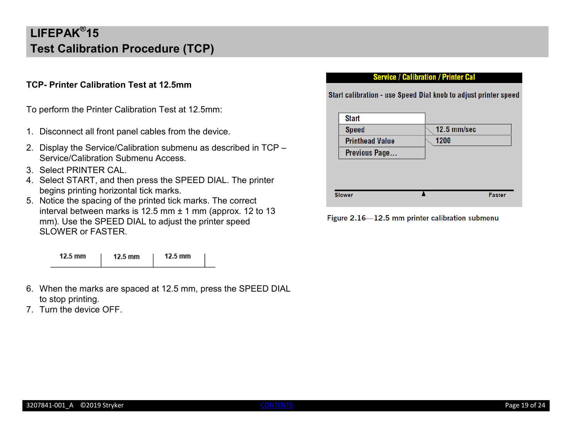### <span id="page-18-0"></span>**TCP- Printer Calibration Test at 12.5mm**

To perform the Printer Calibration Test at 12.5mm:

- 1. Disconnect all front panel cables from the device.
- 2. Display the Service/Calibration submenu as described in TCP Service/Calibration Submenu Access.
- 3. Select PRINTER CAL.
- 4. Select START, and then press the SPEED DIAL. The printer begins printing horizontal tick marks.
- 5. Notice the spacing of the printed tick marks. The correct interval between marks is 12.5 mm ± 1 mm (approx. 12 to 13 mm). Use the SPEED DIAL to adjust the printer speed SLOWER or FASTER.

| $12.5 \text{ mm}$ | $12.5 \text{ mm}$ | $12.5 \text{ mm}$ |
|-------------------|-------------------|-------------------|
|                   |                   |                   |

- 6. When the marks are spaced at 12.5 mm, press the SPEED DIAL to stop printing.
- 7. Turn the device OFF.

#### **Service / Calibration / Printer Cal**

Start calibration - use Speed Dial knob to adjust printer speed

| 12.5 mm/sec |
|-------------|
| 1200        |
|             |
|             |
|             |
|             |
|             |
|             |

Figure 2.16-12.5 mm printer calibration submenu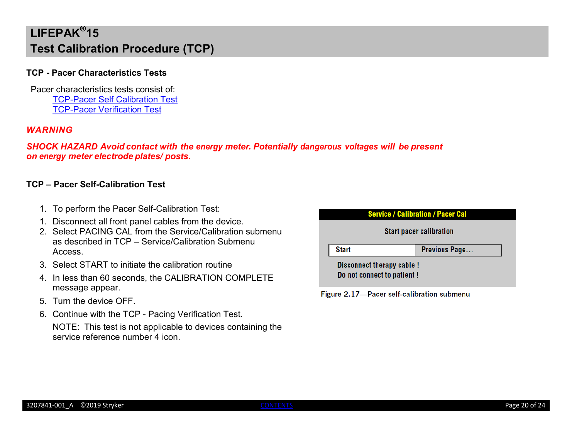#### <span id="page-19-0"></span>**TCP - Pacer Characteristics Tests**

Pacer characteristics tests consist of: [TCP-Pacer Self Calibration Test](#page-19-1) [TCP-Pacer Verification Test](#page-20-0)

#### *WARNING*

*SHOCK HAZARD Avoid contact with the energy meter. Potentially dangerous voltages will be present on energy meter electrode plates/ posts.*

#### <span id="page-19-1"></span>**TCP – Pacer Self-Calibration Test**

- 1. To perform the Pacer Self-Calibration Test:
- 1. Disconnect all front panel cables from the device.
- 2. Select PACING CAL from the Service/Calibration submenu as described in TCP – Service/Calibration Submenu Access.
- 3. Select START to initiate the calibration routine
- 4. In less than 60 seconds, the CALIBRATION COMPLETE message appear.
- 5. Turn the device OFF.
- 6. Continue with the TCP Pacing Verification Test.

```
NOTE: This test is not applicable to devices containing the 
service reference number 4 icon.
```


Figure 2.17-Pacer self-calibration submenu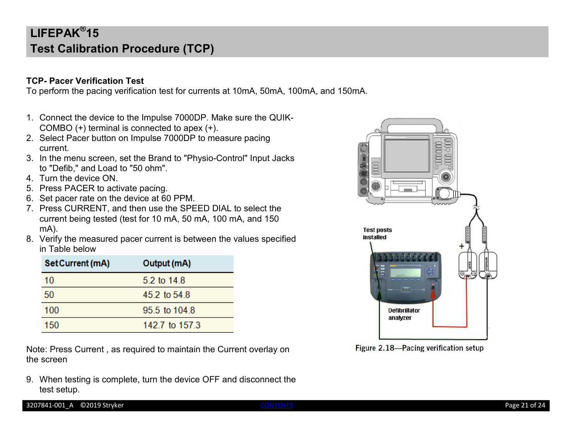### <span id="page-20-0"></span>**TCP- Pacer Verification Test**

To perform the pacing verification test for currents at 10mA, 50mA, 100mA, and 150mA.

- 1. Connect the device to the Impulse 7000DP. Make sure the QUIK-COMBO (+) terminal is connected to apex (+).
- 2. Select Pacer button on Impulse 7000DP to measure pacing current.
- 3. In the menu screen, set the Brand to "Physio-Control" Input Jacks to "Defib," and Load to "50 ohm".
- 4. Turn the device ON.
- 5. Press PACER to activate pacing.
- 6. Set pacer rate on the device at 60 PPM.
- 7. Press CURRENT, and then use the SPEED DIAL to select the current being tested (test for 10 mA, 50 mA, 100 mA, and 150 mA).
- 8. Verify the measured pacer current is between the values specified in Table below

| Set Current (mA) | Output (mA)    |
|------------------|----------------|
| 10               | 5.2 to 14.8    |
| 50               | 45 2 to 54 8   |
| 100              | 95.5 to 104.8  |
| 150              | 142.7 to 157.3 |

Note: Press Current , as required to maintain the Current overlay on the screen

9. When testing is complete, turn the device OFF and disconnect the test setup.



Figure 2.18-Pacing verification setup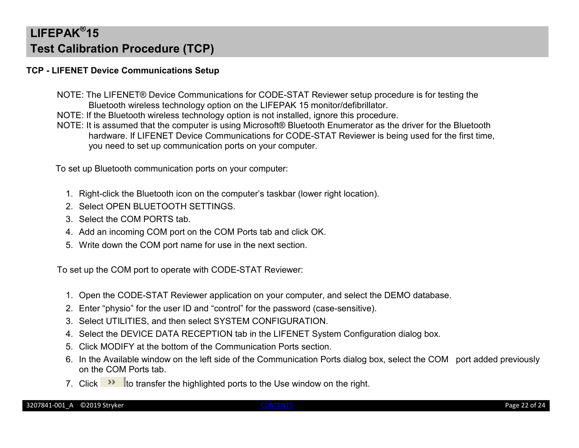### <span id="page-21-0"></span>**TCP - LIFENET Device Communications Setup**

- NOTE: The LIFENET® Device Communications for CODE-STAT Reviewer setup procedure is for testing the Bluetooth wireless technology option on the LIFEPAK 15 monitor/defibrillator.
- NOTE: If the Bluetooth wireless technology option is not installed, ignore this procedure.
- NOTE: It is assumed that the computer is using Microsoft® Bluetooth Enumerator as the driver for the Bluetooth hardware. If LIFENET Device Communications for CODE-STAT Reviewer is being used for the first time, you need to set up communication ports on your computer.

To set up Bluetooth communication ports on your computer:

- 1. Right-click the Bluetooth icon on the computer's taskbar (lower right location).
- 2. Select OPEN BLUETOOTH SETTINGS.
- 3. Select the COM PORTS tab.
- 4. Add an incoming COM port on the COM Ports tab and click OK.
- 5. Write down the COM port name for use in the next section.

To set up the COM port to operate with CODE-STAT Reviewer:

- 1. Open the CODE-STAT Reviewer application on your computer, and select the DEMO database.
- 2. Enter "physio" for the user ID and "control" for the password (case-sensitive).
- 3. Select UTILITIES, and then select SYSTEM CONFIGURATION.
- 4. Select the DEVICE DATA RECEPTION tab in the LIFENET System Configuration dialog box.
- 5. Click MODIFY at the bottom of the Communication Ports section.
- 6. In the Available window on the left side of the Communication Ports dialog box, select the COM port added previously on the COM Ports tab.
- 7. Click  $\rightarrow$  to transfer the highlighted ports to the Use window on the right.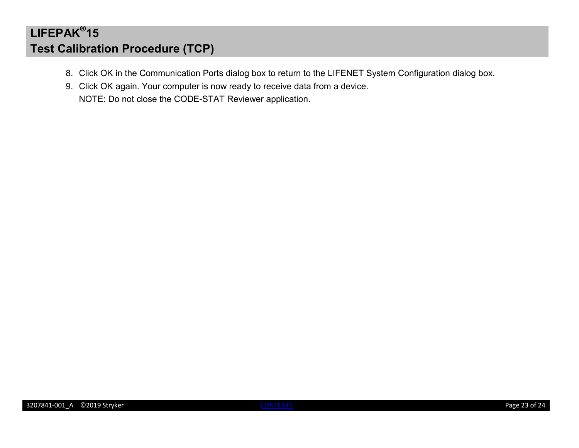- 8. Click OK in the Communication Ports dialog box to return to the LIFENET System Configuration dialog box.
- 9. Click OK again. Your computer is now ready to receive data from a device. NOTE: Do not close the CODE-STAT Reviewer application.